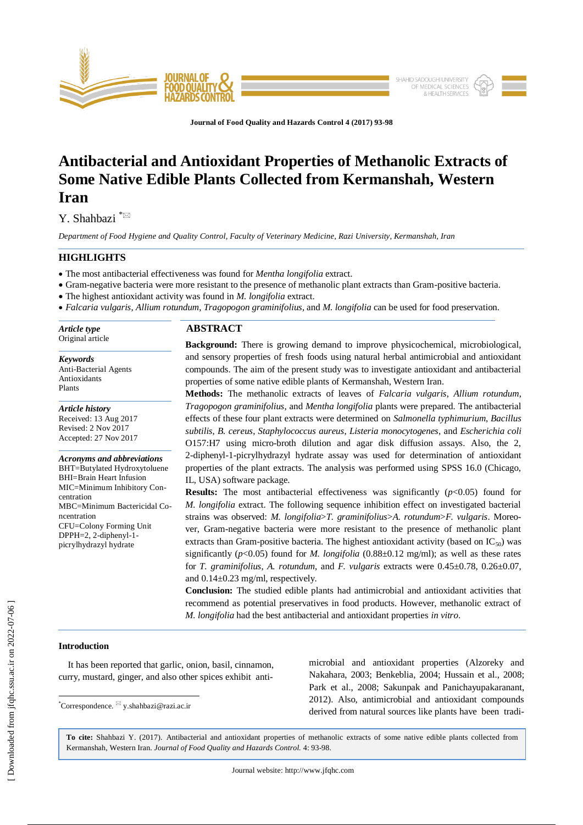

**Journal of Food Quality and Hazards Control 4 (2017) 93-98**

# **Antibacterial and Antioxidant Properties of Methanolic Extracts of Some Native Edible Plants Collected from Kermanshah, Western Iran**

Y. Shahbazi \*

*Department of Food Hygiene and Quality Control, Faculty of Veterinary Medicine, Razi University, Kermanshah, Iran* 

# **HIGHLIGHTS**

- The most antibacterial effectiveness was found for *Mentha longifolia* extract.
- Gram-negative bacteria were more resistant to the presence of methanolic plant extracts than Gram-positive bacteria.

The highest antioxidant activity was found in *M. longifolia* extract.

*Falcaria vulgaris*, *Allium rotundum*, *Tragopogon graminifolius*, and *M. longifolia* can be used for food preservation.

*Article type* Original article

*Keywords* Anti-Bacterial Agents Antioxidants Plants

*Article history* Received: 13 Aug 2017 Revised: 2 Nov 2017 Accepted: 27 Nov 2017

*Acronyms and abbreviations* BHT=Butylated Hydroxytoluene BHI=Brain Heart Infusion MIC=Minimum Inhibitory Concentration MBC=Minimum Bactericidal Concentration CFU=Colony Forming Unit DPPH=2, 2-diphenyl-1 picrylhydrazyl hydrate

# **ABSTRACT**

**Background:** There is growing demand to improve physicochemical, microbiological, and sensory properties of fresh foods using natural herbal antimicrobial and antioxidant compounds. The aim of the present study was to investigate antioxidant and antibacterial properties of some native edible plants of Kermanshah, Western Iran.

**Methods:** The methanolic extracts of leaves of *Falcaria vulgaris*, *Allium rotundum*, *Tragopogon graminifolius*, and *Mentha longifolia* plants were prepared. The antibacterial effects of these four plant extracts were determined on *Salmonella typhimurium*, *Bacillus subtilis*, *B. cereus*, *Staphylococcus aureus*, *Listeria monocytogenes*, and *Escherichia coli* O157:H7 using micro-broth dilution and agar disk diffusion assays. Also, the 2, 2-diphenyl-1-picrylhydrazyl hydrate assay was used for determination of antioxidant properties of the plant extracts. The analysis was performed using SPSS 16.0 (Chicago, IL, USA) software package.

**Results:** The most antibacterial effectiveness was significantly ( $p < 0.05$ ) found for *M. longifolia* extract. The following sequence inhibition effect on investigated bacterial strains was observed: *M. longifolia*>*T. graminifolius*>*A. rotundum*>*F. vulgaris*. Moreover, Gram-negative bacteria were more resistant to the presence of methanolic plant extracts than Gram-positive bacteria. The highest antioxidant activity (based on  $IC_{50}$ ) was significantly ( $p$ <0.05) found for *M. longifolia* (0.88 $\pm$ 0.12 mg/ml); as well as these rates for *T. graminifolius*, *A. rotundum*, and *F. vulgaris* extracts were 0.45±0.78, 0.26±0.07, and 0.14±0.23 mg/ml, respectively.

**Conclusion:** The studied edible plants had antimicrobial and antioxidant activities that recommend as potential preservatives in food products. However, methanolic extract of *M. longifolia* had the best antibacterial and antioxidant properties *in vitro*.

# **Introduction**

 $\overline{\phantom{a}}$ 

 It has been reported that garlic, onion, basil, cinnamon, curry, mustard, ginger, and also other spices exhibit antimicrobial and antioxidant properties (Alzoreky and Nakahara, 2003; Benkeblia, 2004; Hussain et al., 2008; Park et al., 2008; Sakunpak and Panichayupakaranant, 2012). Also, antimicrobial and antioxidant compounds derived from natural sources like plants have been tradi-

**To cite:** Shahbazi Y. (2017). Antibacterial and antioxidant properties of methanolic extracts of some native edible plants collected from Kermanshah, Western Iran. *Journal of Food Quality and Hazards Control.* 4: 93-98.

<sup>\*</sup>Correspondence. y.shahbazi@razi.ac.ir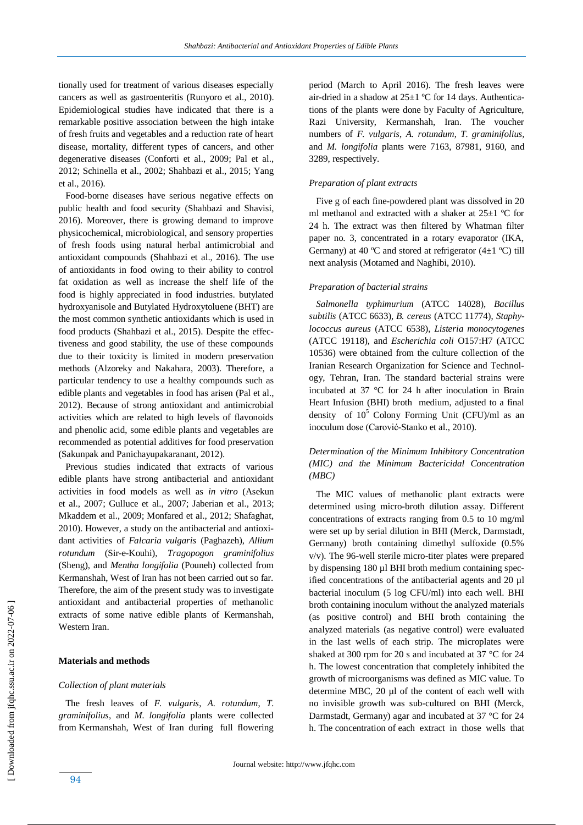tionally used for treatment of various diseases especially cancers as well as gastroenteritis (Runyoro et al., 2010). Epidemiological studies have indicated that there is a remarkable positive association between the high intake of fresh fruits and vegetables and a reduction rate of heart disease, mortality, different types of cancers, and other degenerative diseases (Conforti et al., 2009; Pal et al., 2012; Schinella et al., 2002; Shahbazi et al., 2015; Yang et al., 2016).

 Food-borne diseases have serious negative effects on public health and food security (Shahbazi and Shavisi, 2016). Moreover, there is growing demand to improve physicochemical, microbiological, and sensory properties of fresh foods using natural herbal antimicrobial and antioxidant compounds (Shahbazi et al., 2016). The use of antioxidants in food owing to their ability to control fat oxidation as well as increase the shelf life of the food is highly appreciated in food industries. butylated hydroxyanisole and Butylated Hydroxytoluene (BHT) are the most common synthetic antioxidants which is used in food products (Shahbazi et al., 2015). Despite the effectiveness and good stability, the use of these compounds due to their toxicity is limited in modern preservation methods (Alzoreky and Nakahara, 2003). Therefore, a particular tendency to use a healthy compounds such as edible plants and vegetables in food has arisen (Pal et al., 2012). Because of strong antioxidant and antimicrobial activities which are related to high levels of flavonoids and phenolic acid, some edible plants and vegetables are recommended as potential additives for food preservation (Sakunpak and Panichayupakaranant, 2012).

 Previous studies indicated that extracts of various edible plants have strong antibacterial and antioxidant activities in food models as well as *in vitro* (Asekun et al., 2007; Gulluce et al., 2007; Jaberian et al., 2013; Mkaddem et al., 2009; Monfared et al., 2012; Shafaghat, 2010). However, a study on the antibacterial and antioxidant activities of *Falcaria vulgaris* (Paghazeh), *Allium rotundum* (Sir-e-Kouhi), *Tragopogon graminifolius* (Sheng), and *Mentha longifolia* (Pouneh) collected from Kermanshah, West of Iran has not been carried out so far. Therefore, the aim of the present study was to investigate antioxidant and antibacterial properties of methanolic extracts of some native edible plants of Kermanshah, Western Iran.

# **Materials and methods**

#### *Collection of plant materials*

 The fresh leaves of *F. vulgaris*, *A. rotundum*, *T. graminifolius*, and *M. longifolia* plants were collected from Kermanshah, West of Iran during full flowering period (March to April 2016). The fresh leaves were air-dried in a shadow at  $25\pm1$  °C for 14 days. Authentications of the plants were done by Faculty of Agriculture, Razi University, Kermanshah, Iran. The voucher numbers of *F. vulgaris*, *A. rotundum*, *T. graminifolius,* and *M. longifolia* plants were 7163, 87981, 9160, and 3289, respectively.

## *Preparation of plant extracts*

 Five g of each fine-powdered plant was dissolved in 20 ml methanol and extracted with a shaker at  $25\pm1$  °C for 24 h. The extract was then filtered by Whatman filter paper no. 3, concentrated in a rotary evaporator (IKA, Germany) at 40 °C and stored at refrigerator  $(4\pm1$  °C) till next analysis (Motamed and Naghibi, 2010).

#### *Preparation of bacterial strains*

 *Salmonella typhimurium* (ATCC 14028), *Bacillus subtilis* (ATCC 6633), *B. cereus* (ATCC 11774), *Staphylococcus aureus* (ATCC 6538), *Listeria monocytogenes* (ATCC 19118), and *Escherichia coli* O157:H7 (ATCC 10536) were obtained from the culture collection of the Iranian Research Organization for Science and Technology, Tehran, Iran. The standard bacterial strains were incubated at 37 °C for 24 h after inoculation in Brain Heart Infusion (BHI) broth medium, adjusted to a final density of  $10^5$  Colony Forming Unit (CFU)/ml as an inoculum dose (Carović-Stanko et al., 2010).

# *Determination of the Minimum Inhibitory Concentration (MIC) and the Minimum Bactericidal Concentration (MBC)*

 The MIC values of methanolic plant extracts were determined using micro-broth dilution assay. Different concentrations of extracts ranging from 0.5 to 10 mg/ml were set up by serial dilution in BHI (Merck, Darmstadt, Germany) broth containing dimethyl sulfoxide (0.5% v/v). The 96-well sterile micro-titer plates were prepared by dispensing 180 µl BHI broth medium containing specified concentrations of the antibacterial agents and 20 µl bacterial inoculum (5 log CFU/ml) into each well. BHI broth containing inoculum without the analyzed materials (as positive control) and BHI broth containing the analyzed materials (as negative control) were evaluated in the last wells of each strip. The microplates were shaked at 300 rpm for 20 s and incubated at 37 °C for 24 h. The lowest concentration that completely inhibited the growth of microorganisms was defined as MIC value. To determine MBC, 20 µl of the content of each well with no invisible growth was sub-cultured on BHI (Merck, Darmstadt, Germany) agar and incubated at 37 °C for 24 h. The concentration of each extract in those wells that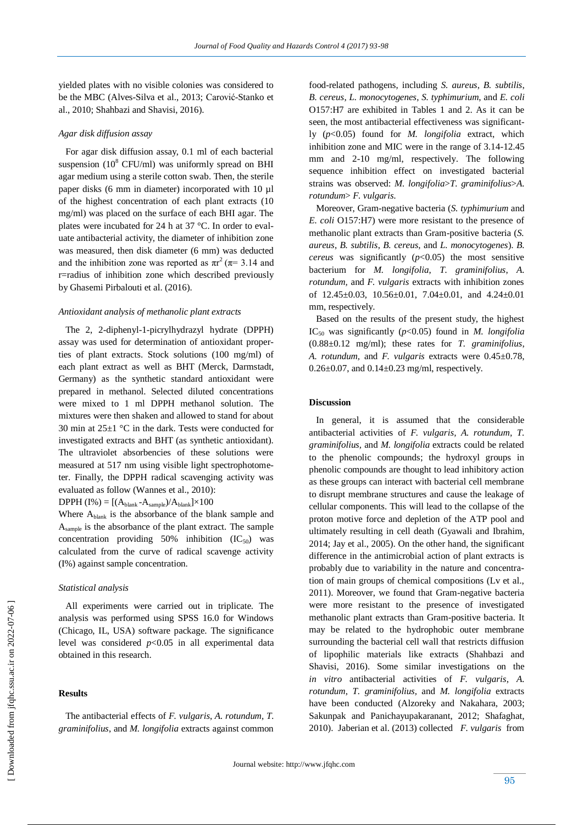yielded plates with no visible colonies was considered to be the MBC (Alves-Silva et al., 2013; Carović-Stanko et al., 2010; Shahbazi and Shavisi, 2016).

#### *Agar disk diffusion assay*

 For agar disk diffusion assay, 0.1 ml of each bacterial suspension  $(10^8 \text{ CFU/ml})$  was uniformly spread on BHI agar medium using a sterile cotton swab. Then, the sterile paper disks (6 mm in diameter) incorporated with 10 µl of the highest concentration of each plant extracts (10 mg/ml) was placed on the surface of each BHI agar. The plates were incubated for 24 h at 37 °C. In order to evaluate antibacterial activity, the diameter of inhibition zone was measured, then disk diameter (6 mm) was deducted and the inhibition zone was reported as  $\pi r^2(\pi = 3.14$  and r=radius of inhibition zone which described previously by Ghasemi Pirbalouti et al. (2016).

## *Antioxidant analysis of methanolic plant extracts*

 The 2, 2-diphenyl-1-picrylhydrazyl hydrate (DPPH) assay was used for determination of antioxidant properties of plant extracts. Stock solutions (100 mg/ml) of each plant extract as well as BHT (Merck, Darmstadt, Germany) as the synthetic standard antioxidant were prepared in methanol. Selected diluted concentrations were mixed to 1 ml DPPH methanol solution. The mixtures were then shaken and allowed to stand for about 30 min at  $25\pm1$  °C in the dark. Tests were conducted for investigated extracts and BHT (as synthetic antioxidant). The ultraviolet absorbencies of these solutions were measured at 517 nm using visible light spectrophotometer. Finally, the DPPH radical scavenging activity was evaluated as follow (Wannes et al., 2010):

 $DPPH (I%) = [(A<sub>blank</sub> - A<sub>sample</sub>)/A<sub>blank</sub>] \times 100$ 

Where  $A_{\text{blank}}$  is the absorbance of the blank sample and Asample is the absorbance of the plant extract. The sample concentration providing  $50\%$  inhibition  $(IC_{50})$  was calculated from the curve of radical scavenge activity (I%) against sample concentration.

#### *Statistical analysis*

 All experiments were carried out in triplicate. The analysis was performed using SPSS 16.0 for Windows (Chicago, IL, USA) software package. The significance level was considered *p*<0.05 in all experimental data obtained in this research.

## **Results**

food-related pathogens, including *S. aureus*, *B. subtilis*, *B. cereus*, *L. monocytogenes*, *S. typhimurium*, and *E. coli* O157:H7 are exhibited in Tables 1 and 2. As it can be seen, the most antibacterial effectiveness was significantly (*p*<0.05) found for *M. longifolia* extract, which inhibition zone and MIC were in the range of 3.14-12.45 mm and 2-10 mg/ml, respectively. The following sequence inhibition effect on investigated bacterial strains was observed: *M. longifolia*>*T. graminifolius*>*A. rotundum*> *F. vulgaris.* 

 Moreover, Gram-negative bacteria (*S. typhimurium* and *E. coli* O157:H7) were more resistant to the presence of methanolic plant extracts than Gram-positive bacteria (*S. aureus*, *B. subtilis*, *B. cereus*, and *L. monocytogenes*). *B. cereus* was significantly  $(p<0.05)$  the most sensitive bacterium for *M. longifolia*, *T. graminifolius*, *A. rotundum,* and *F. vulgaris* extracts with inhibition zones of  $12.45\pm0.03$ ,  $10.56\pm0.01$ ,  $7.04\pm0.01$ , and  $4.24\pm0.01$ mm, respectively.

 Based on the results of the present study, the highest IC<sub>50</sub> was significantly  $(p<0.05)$  found in *M. longifolia* (0.88±0.12 mg/ml); these rates for *T. graminifolius*, *A. rotundum,* and *F. vulgaris* extracts were 0.45±0.78,  $0.26 \pm 0.07$ , and  $0.14 \pm 0.23$  mg/ml, respectively.

# **Discussion**

 In general, it is assumed that the considerable antibacterial activities of *F. vulgaris, A. rotundum, T. graminifolius,* and *M. longifolia* extracts could be related to the phenolic compounds; the hydroxyl groups in phenolic compounds are thought to lead inhibitory action as these groups can interact with bacterial cell membrane to disrupt membrane structures and cause the leakage of cellular components. This will lead to the collapse of the proton motive force and depletion of the ATP pool and ultimately resulting in cell death (Gyawali and Ibrahim, 2014; Jay et al., 2005). On the other hand, the significant difference in the antimicrobial action of plant extracts is probably due to variability in the nature and concentration of main groups of chemical compositions (Lv et al., 2011). Moreover, we found that Gram-negative bacteria were more resistant to the presence of investigated methanolic plant extracts than Gram-positive bacteria. It may be related to the hydrophobic outer membrane surrounding the bacterial cell wall that restricts diffusion of lipophilic materials like extracts (Shahbazi and Shavisi, 2016). Some similar investigations on the *in vitro* antibacterial activities of *F. vulgaris*, *A. rotundum*, *T. graminifolius,* and *M. longifolia* extracts have been conducted (Alzoreky and Nakahara, 2003; Sakunpak and Panichayupakaranant, 2012; Shafaghat, 2010). Jaberian et al. (2013) collected *F. vulgaris* from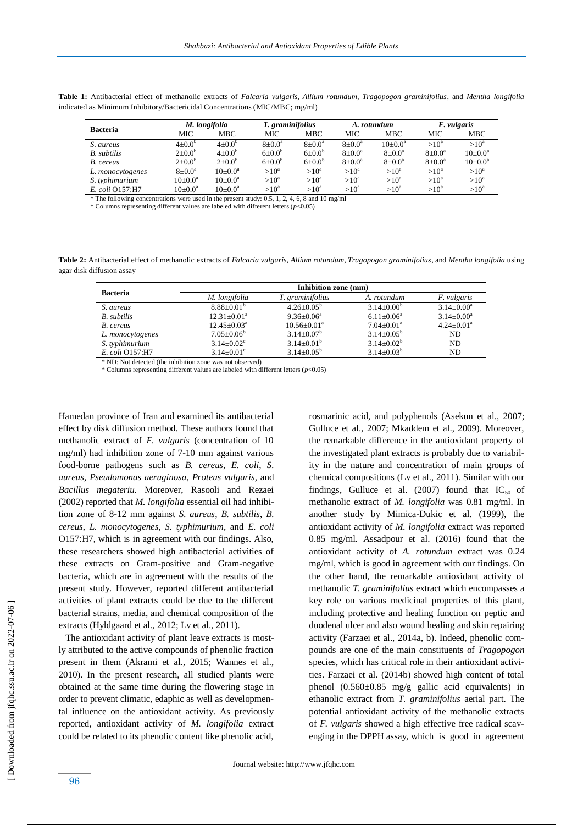| <b>Bacteria</b>    | M. longifolia        |            | T. graminifolius  |             | A. rotundum            |                     | <i>F. vulgaris</i>  |            |
|--------------------|----------------------|------------|-------------------|-------------|------------------------|---------------------|---------------------|------------|
|                    | MIC                  | MBC        | MIC.              | MBC         | MIC                    | <b>MBC</b>          | MIC                 | <b>MBC</b> |
| S. aureus          | $4\pm0.0^{\circ}$    | $4+0.0^b$  | $8+0.0^a$         | $8+0.0^a$   | $8 \pm 0.0^{\text{a}}$ | $10\pm0.0^{\rm a}$  | $>10^a$             | $>10^a$    |
| <b>B.</b> subtilis | $2{\pm}0.0^{\circ}$  | $4+0.0^b$  | $6+0.0^{b}$       | $6+0.0^{b}$ | $8+0.0^a$              | $8+0.0^a$           | $8+0.0^a$           | $10+0.0^a$ |
| B. cereus          | $2{\pm}0.0^{\circ}$  | $2+0.0^b$  | $6\pm0.0^{\circ}$ | $6+0.0^{b}$ | $8 \pm 0.0^{\circ}$    | $8 \pm 0.0^{\circ}$ | $8 \pm 0.0^{\circ}$ | $10+0.0^a$ |
| L. monocytogenes   | $8 \pm 0.0^{\circ}$  | $10+0.0^a$ | $>10^a$           | $>10^a$     | $>10^a$                | $>10^a$             | $>10^a$             | $>10^a$    |
| S. typhimurium     | $10\pm0.0^{\rm a}$   | $10+0.0^a$ | $>10^a$           | $>10^a$     | $>10^a$                | $>10^a$             | $>10^a$             | $>10^a$    |
| E. coli O157:H7    | $10{\pm}0.0^{\rm a}$ | $10+0.0^a$ | $>10^a$           | $>10^a$     | $>10^a$                | $>10^a$             | $>10^a$             | $>10^a$    |

**Table 1:** Antibacterial effect of methanolic extracts of *Falcaria vulgaris, Allium rotundum, Tragopogon graminifolius*, and *Mentha longifolia* indicated as Minimum Inhibitory/Bactericidal Concentrations (MIC/MBC; mg/ml)

\* The following concentrations were used in the present study: 0.5, 1, 2, 4, 6, 8 and 10 mg/ml

\* Columns representing different values are labeled with different letters (*p*<0.05)

**Table 2:** Antibacterial effect of methanolic extracts of *Falcaria vulgaris, Allium rotundum, Tragopogon graminifolius*, and *Mentha longifolia* using agar disk diffusion assay

| <b>Bacteria</b>    | Inhibition zone (mm)         |                         |                              |                   |  |  |  |  |
|--------------------|------------------------------|-------------------------|------------------------------|-------------------|--|--|--|--|
|                    | M. longifolia                | T. graminifolius        | A. rotundum                  | F. vulgaris       |  |  |  |  |
| S. aureus          | $8.88+0.01b$                 | $4.26 \pm 0.05^{\rm b}$ | $3.14 \pm 0.00^b$            | $3.14 \pm 0.00^a$ |  |  |  |  |
| <b>B.</b> subtilis | $12.31 \pm 0.01^a$           | $9.36 + 0.06^a$         | $6.11 \pm 0.06^a$            | $3.14 \pm 0.00^a$ |  |  |  |  |
| B. cereus          | $12.45 \pm 0.03^{\text{a}}$  | $10.56 + 0.01^a$        | $7.04 \pm 0.01$ <sup>a</sup> | $4.24 \pm 0.01^a$ |  |  |  |  |
| L. monocytogenes   | $7.05 \pm 0.06^{\rm b}$      | $3.14 + 0.07^b$         | $3.14 \pm 0.05^{\rm b}$      | ND.               |  |  |  |  |
| S. typhimurium     | $3.14 \pm 0.02$ <sup>c</sup> | $3.14 \pm 0.01^b$       | $3.14 \pm 0.02^b$            | ND.               |  |  |  |  |
| E. coli O157:H7    | $3.14 \pm 0.01^{\circ}$      | $3.14 \pm 0.05^{\circ}$ | $3.14 \pm 0.03^b$            | ND                |  |  |  |  |

\* ND: Not detected (the inhibition zone was not observed)

\* Columns representing different values are labeled with different letters  $(p<0.05)$ 

Hamedan province of Iran and examined its antibacterial effect by disk diffusion method. These authors found that methanolic extract of *F. vulgaris* (concentration of 10 mg/ml) had inhibition zone of 7-10 mm against various food-borne pathogens such as *B. cereus*, *E. coli*, *S. aureus*, *Pseudomonas aeruginosa*, *Proteus vulgaris,* and *Bacillus megateriu.* Moreover, Rasooli and Rezaei (2002) reported that *M. longifolia* essential oil had inhibition zone of 8-12 mm against *S. aureus*, *B. subtilis*, *B. cereus*, *L. monocytogenes*, *S. typhimurium,* and *E. coli*  O157:H7, which is in agreement with our findings. Also, these researchers showed high antibacterial activities of these extracts on Gram-positive and Gram-negative bacteria, which are in agreement with the results of the present study. However, reported different antibacterial activities of plant extracts could be due to the different bacterial strains, media, and chemical composition of the extracts (Hyldgaard et al., 2012; Lv et al., 2011).

 The antioxidant activity of plant leave extracts is mostly attributed to the active compounds of phenolic fraction present in them (Akrami et al., 2015; Wannes et al., 2010). In the present research, all studied plants were obtained at the same time during the flowering stage in order to prevent climatic, edaphic as well as developmental influence on the antioxidant activity. As previously reported, antioxidant activity of *M. longifolia* extract could be related to its phenolic content like phenolic acid, rosmarinic acid, and polyphenols (Asekun et al., 2007; Gulluce et al., 2007; Mkaddem et al., 2009). Moreover, the remarkable difference in the antioxidant property of the investigated plant extracts is probably due to variability in the nature and concentration of main groups of chemical compositions (Lv et al., 2011). Similar with our findings, Gulluce et al. (2007) found that  $IC_{50}$  of methanolic extract of *M. longifolia* was 0.81 mg/ml. In another study by Mimica-Dukic et al. (1999), the antioxidant activity of *M. longifolia* extract was reported 0.85 mg/ml. Assadpour et al. (2016) found that the antioxidant activity of *A. rotundum* extract was 0.24 mg/ml, which is good in agreement with our findings. On the other hand, the remarkable antioxidant activity of methanolic *T. graminifolius* extract which encompasses a key role on various medicinal properties of this plant, including protective and healing function on peptic and duodenal ulcer and also wound healing and skin repairing activity (Farzaei et al., 2014a, b). Indeed, phenolic compounds are one of the main constituents of *Tragopogon* species, which has critical role in their antioxidant activities. Farzaei et al. (2014b) showed high content of total phenol  $(0.560 \pm 0.85 \text{ mg/g}$  gallic acid equivalents) in ethanolic extract from *T. graminifolius* aerial part. The potential antioxidant activity of the methanolic extracts of *F. vulgaris* showed a high effective free radical scavenging in the DPPH assay, which is good in agreement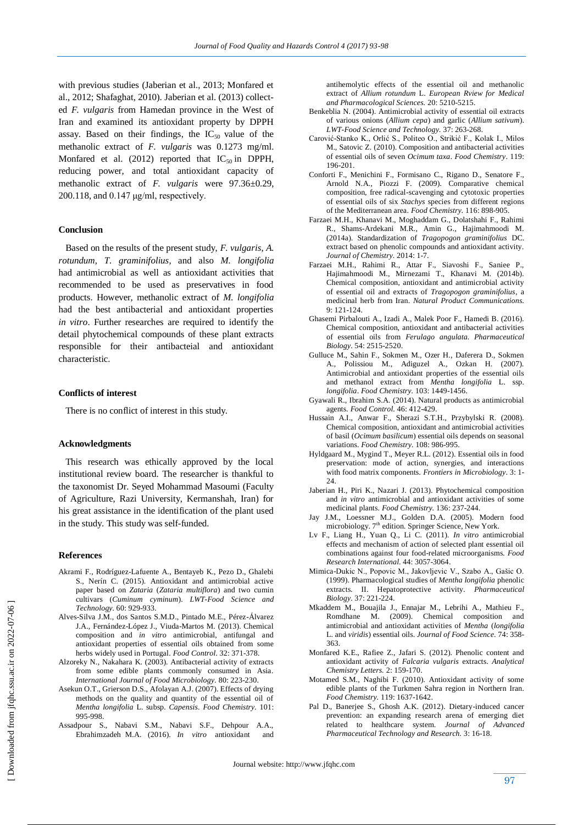with previous studies (Jaberian et al., 2013; Monfared et al., 2012; Shafaghat, 2010). Jaberian et al. (2013) collected *F. vulgaris* from Hamedan province in the West of Iran and examined its antioxidant property by DPPH assay. Based on their findings, the  $IC_{50}$  value of the methanolic extract of *F. vulgaris* was 0.1273 mg/ml. Monfared et al. (2012) reported that  $IC_{50}$  in DPPH, reducing power, and total antioxidant capacity of methanolic extract of *F. vulgaris* were 97.36±0.29, 200.118, and 0.147 μg/ml, respectively.

## **Conclusion**

 Based on the results of the present study, *F. vulgaris*, *A. rotundum*, *T. graminifolius*, and also *M. longifolia* had antimicrobial as well as antioxidant activities that recommended to be used as preservatives in food products. However, methanolic extract of *M. longifolia* had the best antibacterial and antioxidant properties *in vitro*. Further researches are required to identify the detail phytochemical compounds of these plant extracts responsible for their antibacteial and antioxidant characteristic.

## **Conflicts of interest**

There is no conflict of interest in this study.

#### **Acknowledgments**

 This research was ethically approved by the local institutional review board. The researcher is thankful to the taxonomist Dr. Seyed Mohammad Masoumi (Faculty of Agriculture, Razi University, Kermanshah, Iran) for his great assistance in the identification of the plant used in the study. This study was self-funded.

#### **References**

- Akrami F., Rodríguez-Lafuente A., Bentayeb K., Pezo D., Ghalebi S., Nerín C. (2015). Antioxidant and antimicrobial active paper based on *Zataria* (*Zataria multiflora*) and two cumin cultivars (*Cuminum cyminum*). *LWT-Food Science and Technology.* 60: 929-933.
- Alves-Silva J.M., dos Santos S.M.D., Pintado M.E., Pérez-Álvarez J.A., Fernández-López J., Viuda-Martos M. (2013). Chemical composition and *in vitro* antimicrobial, antifungal and antioxidant properties of essential oils obtained from some herbs widely used in Portugal. *Food Control*. 32: 371-378.
- Alzoreky N., Nakahara K. (2003). Antibacterial activity of extracts from some edible plants commonly consumed in Asia. *International Journal of Food Microbiology.* 80: 223-230.
- Asekun O.T., Grierson D.S., Afolayan A.J. (2007). Effects of drying methods on the quality and quantity of the essential oil of *Mentha longifolia* L. subsp. *Capensis*. *Food Chemistry.* 101: 995-998.
- Assadpour S., Nabavi S.M., Nabavi S.F., Dehpour A.A., Ebrahimzadeh M.A. (2016). *In vitro* antioxidant and

antihemolytic effects of the essential oil and methanolic extract of *Allium rotundum* L. *European Rview for Medical and Pharmacological Sciences.* 20: 5210-5215.

- Benkeblia N. (2004). Antimicrobial activity of essential oil extracts of various onions (*Allium cepa*) and garlic (*Allium sativum*). *LWT-Food Science and Technology.* 37: 263-268.
- Carović-Stanko K., Orlić S., Politeo O., Strikić F., Kolak I., Milos M., Satovic Z. (2010). Composition and antibacterial activities of essential oils of seven *Ocimum taxa*. *Food Chemistry*. 119: 196-201.
- Conforti F., Menichini F., Formisano C., Rigano D., Senatore F., Arnold N.A., Piozzi F. (2009). Comparative chemical composition, free radical-scavenging and cytotoxic properties of essential oils of six *Stachys* species from different regions of the Mediterranean area. *Food Chemistry.* 116: 898-905.
- Farzaei M.H., Khanavi M., Moghaddam G., Dolatshahi F., Rahimi R., Shams-Ardekani M.R., Amin G., Hajimahmoodi M. (2014a). Standardization of *Tragopogon graminifolius* DC. extract based on phenolic compounds and antioxidant activity. *Journal of Chemistry.* 2014: 1-7.
- Farzaei M.H., Rahimi R., Attar F., Siavoshi F., Saniee P., Hajimahmoodi M., Mirnezami T., Khanavi M. (2014b). Chemical composition, antioxidant and antimicrobial activity of essential oil and extracts of *Tragopogon graminifolius*, a medicinal herb from Iran. *Natural Product Communications.* 9: 121-124.
- Ghasemi Pirbalouti A., Izadi A., Malek Poor F., Hamedi B. (2016). Chemical composition, antioxidant and antibacterial activities of essential oils from *Ferulago angulata. Pharmaceutical Biology.* 54: 2515-2520.
- Gulluce M., Sahin F., Sokmen M., Ozer H., Daferera D., Sokmen A., Polissiou M., Adiguzel A., Ozkan H. (2007). Antimicrobial and antioxidant properties of the essential oils and methanol extract from *Mentha longifolia* L. ssp. *longifolia*. *Food Chemistry.* 103: 1449-1456.
- Gyawali R., Ibrahim S.A. (2014). Natural products as antimicrobial agents. *Food Control.* 46: 412-429.
- Hussain A.I., Anwar F., Sherazi S.T.H., Przybylski R. (2008). Chemical composition, antioxidant and antimicrobial activities of basil (*Ocimum basilicum*) essential oils depends on seasonal variations. *Food Chemistry.* 108: 986-995.
- Hyldgaard M., Mygind T., Meyer R.L. (2012). Essential oils in food preservation: mode of action, synergies, and interactions with food matrix components. *Frontiers in Microbiology*. 3: 1- 24.
- Jaberian H., Piri K., Nazari J. (2013). Phytochemical composition and *in vitro* antimicrobial and antioxidant activities of some medicinal plants. *Food Chemistry.* 136: 237-244.
- Jay J.M., Loessner M.J., Golden D.A. (2005). Modern food microbiology. 7<sup>th</sup> edition. Springer Science, New York.
- Lv F., Liang H., Yuan Q., Li C. (2011). *In vitro* antimicrobial effects and mechanism of action of selected plant essential oil combinations against four food-related microorganisms. *Food Research International.* 44: 3057-3064.
- Mimica-Dukic N., Popovic M., Jakovljevic V., Szabo A., Gašic O. (1999). Pharmacological studies of *Mentha longifolia* phenolic extracts. II. Hepatoprotective activity. *Pharmaceutical Biology.* 37: 221-224.
- Mkaddem M., Bouajila J., Ennajar M., Lebrihi A., Mathieu F., Romdhane M. (2009). Chemical composition and antimicrobial and antioxidant activities of *Mentha* (*longifolia* L. and *viridis*) essential oils. *Journal of Food Science.* 74: 358- 363.
- Monfared K.E., Rafiee Z., Jafari S. (2012). Phenolic content and antioxidant activity of *Falcaria vulgaris* extracts. *Analytical Chemistry Letters.* 2: 159-170.
- Motamed S.M., Naghibi F. (2010). Antioxidant activity of some edible plants of the Turkmen Sahra region in Northern Iran. *Food Chemistry.* 119: 1637-1642.
- Pal D., Banerjee S., Ghosh A.K. (2012). Dietary-induced cancer prevention: an expanding research arena of emerging diet related to healthcare system. *Journal of Advanced Pharmaceutical Technology and Research.* 3: 16-18.